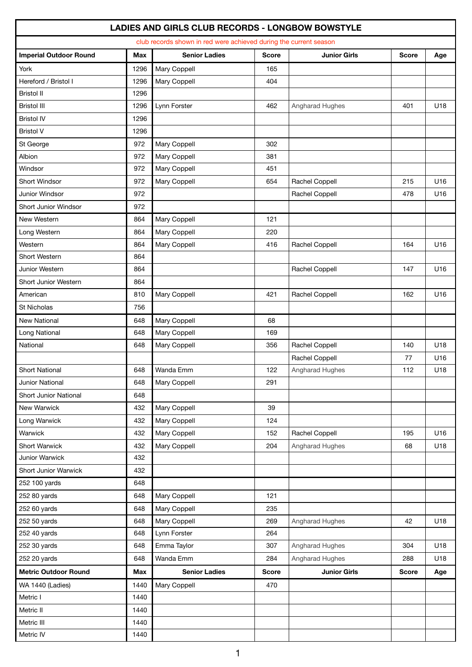|                               |            | LADIES AND GIRLS CLUB RECORDS - LONGBOW BOWSTYLE<br>club records shown in red were achieved during the current season |              |                     |              |     |
|-------------------------------|------------|-----------------------------------------------------------------------------------------------------------------------|--------------|---------------------|--------------|-----|
| <b>Imperial Outdoor Round</b> | <b>Max</b> | <b>Senior Ladies</b>                                                                                                  | <b>Score</b> | <b>Junior Girls</b> | <b>Score</b> | Age |
| York                          | 1296       | Mary Coppell                                                                                                          | 165          |                     |              |     |
| Hereford / Bristol I          | 1296       | Mary Coppell                                                                                                          | 404          |                     |              |     |
| <b>Bristol II</b>             | 1296       |                                                                                                                       |              |                     |              |     |
| <b>Bristol III</b>            | 1296       | Lynn Forster                                                                                                          | 462          | Angharad Hughes     | 401          | U18 |
| <b>Bristol IV</b>             | 1296       |                                                                                                                       |              |                     |              |     |
| <b>Bristol V</b>              | 1296       |                                                                                                                       |              |                     |              |     |
| St George                     | 972        | Mary Coppell                                                                                                          | 302          |                     |              |     |
| Albion                        | 972        | Mary Coppell                                                                                                          | 381          |                     |              |     |
| Windsor                       | 972        | Mary Coppell                                                                                                          | 451          |                     |              |     |
| Short Windsor                 | 972        | Mary Coppell                                                                                                          | 654          | Rachel Coppell      | 215          | U16 |
| Junior Windsor                | 972        |                                                                                                                       |              | Rachel Coppell      | 478          | U16 |
| Short Junior Windsor          | 972        |                                                                                                                       |              |                     |              |     |
| New Western                   | 864        | Mary Coppell                                                                                                          | 121          |                     |              |     |
| Long Western                  | 864        | Mary Coppell                                                                                                          | 220          |                     |              |     |
| Western                       | 864        | Mary Coppell                                                                                                          | 416          | Rachel Coppell      | 164          | U16 |
| Short Western                 | 864        |                                                                                                                       |              |                     |              |     |
| Junior Western                | 864        |                                                                                                                       |              | Rachel Coppell      | 147          | U16 |
| Short Junior Western          | 864        |                                                                                                                       |              |                     |              |     |
| American                      | 810        | Mary Coppell                                                                                                          | 421          | Rachel Coppell      | 162          | U16 |
| <b>St Nicholas</b>            | 756        |                                                                                                                       |              |                     |              |     |
| <b>New National</b>           | 648        | Mary Coppell                                                                                                          | 68           |                     |              |     |
| Long National                 | 648        | Mary Coppell                                                                                                          | 169          |                     |              |     |
| National                      | 648        | Mary Coppell                                                                                                          | 356          | Rachel Coppell      | 140          | U18 |
|                               |            |                                                                                                                       |              | Rachel Coppell      | 77           | U16 |
| <b>Short National</b>         | 648        | Wanda Emm                                                                                                             | 122          | Angharad Hughes     | 112          | U18 |
| Junior National               | 648        | Mary Coppell                                                                                                          | 291          |                     |              |     |
| Short Junior National         | 648        |                                                                                                                       |              |                     |              |     |
| New Warwick                   | 432        | Mary Coppell                                                                                                          | 39           |                     |              |     |
| Long Warwick                  | 432        | Mary Coppell                                                                                                          | 124          |                     |              |     |
| Warwick                       | 432        | Mary Coppell                                                                                                          | 152          | Rachel Coppell      | 195          | U16 |
| Short Warwick                 | 432        | Mary Coppell                                                                                                          | 204          | Angharad Hughes     | 68           | U18 |
| Junior Warwick                | 432        |                                                                                                                       |              |                     |              |     |
| Short Junior Warwick          | 432        |                                                                                                                       |              |                     |              |     |
| 252 100 yards                 | 648        |                                                                                                                       |              |                     |              |     |
| 252 80 yards                  | 648        | Mary Coppell                                                                                                          | 121          |                     |              |     |
| 252 60 yards                  | 648        | Mary Coppell                                                                                                          | 235          |                     |              |     |
| 252 50 yards                  | 648        | Mary Coppell                                                                                                          | 269          | Angharad Hughes     | 42           | U18 |
| 252 40 yards                  | 648        | Lynn Forster                                                                                                          | 264          |                     |              |     |
| 252 30 yards                  | 648        | Emma Taylor                                                                                                           | 307          | Angharad Hughes     | 304          | U18 |
| 252 20 yards                  | 648        | Wanda Emm                                                                                                             | 284          | Angharad Hughes     | 288          | U18 |
| <b>Metric Outdoor Round</b>   | Max        | <b>Senior Ladies</b>                                                                                                  | <b>Score</b> | <b>Junior Girls</b> | <b>Score</b> | Age |
| WA 1440 (Ladies)              | 1440       | Mary Coppell                                                                                                          | 470          |                     |              |     |
| Metric I                      | 1440       |                                                                                                                       |              |                     |              |     |
| Metric II                     | 1440       |                                                                                                                       |              |                     |              |     |
| Metric III                    | 1440       |                                                                                                                       |              |                     |              |     |
| Metric IV                     | 1440       |                                                                                                                       |              |                     |              |     |